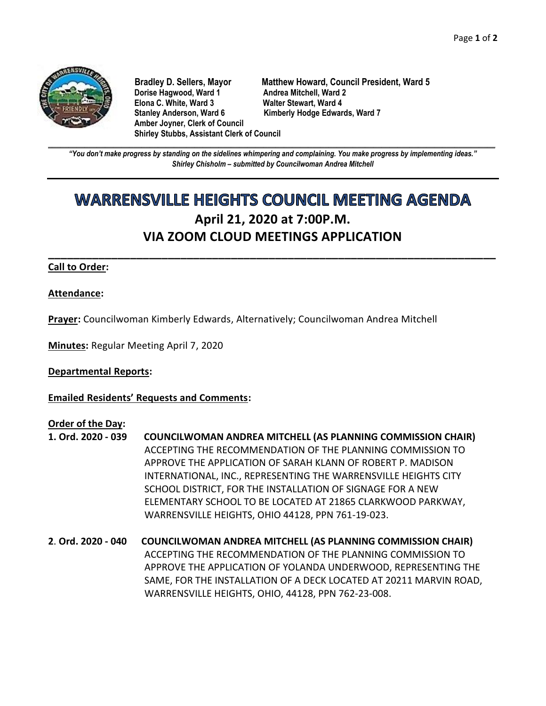

**Dorise Hagwood, Ward 1 Andrea Mitchell, Ward 2 Elona C. White, Ward 3 Stanley Anderson, Ward 6 Kimberly Hodge Edwards, Ward 7 Amber Joyner, Clerk of Council Shirley Stubbs, Assistant Clerk of Council**

**Bradley D. Sellers, Mayor Matthew Howard, Council President, Ward 5**

**\_\_\_\_\_\_\_\_\_\_\_\_\_\_\_\_\_\_\_\_\_\_\_\_\_\_\_\_\_\_\_\_\_\_\_\_\_\_\_\_\_\_\_\_\_\_\_\_\_\_\_\_\_\_\_\_\_\_\_\_\_\_\_\_\_\_\_\_\_\_\_\_\_\_\_\_\_\_\_\_\_\_\_\_\_\_\_\_\_\_\_\_\_\_\_\_\_\_\_\_\_\_\_\_\_\_\_\_\_\_** *"You don't make progress by standing on the sidelines whimpering and complaining. You make progress by implementing ideas." Shirley Chisholm – submitted by Councilwoman Andrea Mitchell*

# **WARRENSVILLE HEIGHTS COUNCIL MEETING AGENDA April 21, 2020 at 7:00P.M. VIA ZOOM CLOUD MEETINGS APPLICATION**

**\_\_\_\_\_\_\_\_\_\_\_\_\_\_\_\_\_\_\_\_\_\_\_\_\_\_\_\_\_\_\_\_\_\_\_\_\_\_\_\_\_\_\_\_\_\_\_\_\_\_\_\_\_\_\_\_\_\_\_\_\_\_\_\_\_\_\_\_\_\_\_**

### **Call to Order:**

#### **Attendance:**

**Prayer:** Councilwoman Kimberly Edwards, Alternatively; Councilwoman Andrea Mitchell

**Minutes:** Regular Meeting April 7, 2020

**Departmental Reports:**

**Emailed Residents' Requests and Comments:**

#### **Order of the Day:**

- **1. Ord. 2020 - 039 COUNCILWOMAN ANDREA MITCHELL (AS PLANNING COMMISSION CHAIR)**  ACCEPTING THE RECOMMENDATION OF THE PLANNING COMMISSION TO APPROVE THE APPLICATION OF SARAH KLANN OF ROBERT P. MADISON INTERNATIONAL, INC., REPRESENTING THE WARRENSVILLE HEIGHTS CITY SCHOOL DISTRICT, FOR THE INSTALLATION OF SIGNAGE FOR A NEW ELEMENTARY SCHOOL TO BE LOCATED AT 21865 CLARKWOOD PARKWAY, WARRENSVILLE HEIGHTS, OHIO 44128, PPN 761-19-023.
- **2**. **Ord. 2020 - 040 COUNCILWOMAN ANDREA MITCHELL (AS PLANNING COMMISSION CHAIR)**  ACCEPTING THE RECOMMENDATION OF THE PLANNING COMMISSION TO APPROVE THE APPLICATION OF YOLANDA UNDERWOOD, REPRESENTING THE SAME, FOR THE INSTALLATION OF A DECK LOCATED AT 20211 MARVIN ROAD, WARRENSVILLE HEIGHTS, OHIO, 44128, PPN 762-23-008.